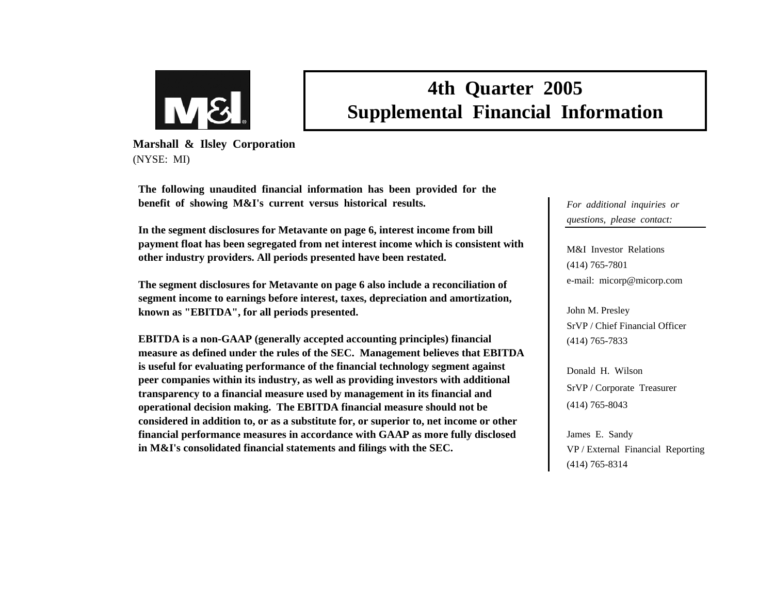

# **4th Quarter 2005 Supplemental Financial Information**

**Marshall & Ilsley Corporation** (NYSE: MI)

**The following unaudited financial information has been provided for the benefit of showing M&I's current versus historical results.**

**In the segment disclosures for Metavante on page 6, interest income from bill payment float has been segregated from net interest income which is consistent with other industry providers. All periods presented have been restated.**

**The segment disclosures for Metavante on page 6 also include a reconciliation of segment income to earnings before interest, taxes, depreciation and amortization, known as "EBITDA", for all periods presented.**

**EBITDA is a non-GAAP (generally accepted accounting principles) financial measure as defined under the rules of the SEC. Management believes that EBITDA is useful for evaluating performance of the financial technology segment against peer companies within its industry, as well as providing investors with additional transparency to a financial measure used by management in its financial and operational decision making. The EBITDA financial measure should not be considered in addition to, or as a substitute for, or superior to, net income or other financial performance measures in accordance with GAAP as more fully disclosed in M&I's consolidated financial statements and filings with the SEC.** 

*For additional inquiries or questions, please contact:*

M&I Investor Relations(414) 765-7801 e-mail: micorp@micorp.com

John M. Presley SrVP / Chief Financial Officer(414) 765-7833

Donald H. WilsonSrVP / Corporate Treasurer (414) 765-8043

James E. Sandy VP / External Financial Reporting (414) 765-8314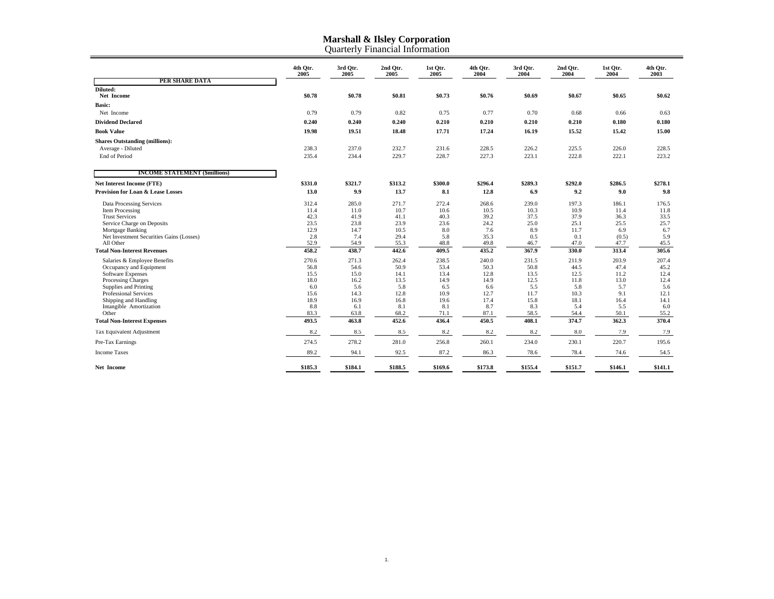|                                                | 4th Otr.<br>2005 | 3rd Otr.<br>2005 | 2nd Otr.<br>2005 | 1st Otr.<br>2005 | 4th Otr.<br>2004 | 3rd Otr.<br>2004 | 2nd Otr.<br>2004 | 1st Otr.<br>2004 | 4th Otr.<br>2003 |
|------------------------------------------------|------------------|------------------|------------------|------------------|------------------|------------------|------------------|------------------|------------------|
| PER SHARE DATA                                 |                  |                  |                  |                  |                  |                  |                  |                  |                  |
| Diluted:<br>Net Income                         | \$0.78           | \$0.78           | \$0.81           | \$0.73           | \$0.76           | \$0.69           | \$0.67           | \$0.65           | \$0.62           |
| <b>Basic:</b>                                  |                  |                  |                  |                  |                  |                  |                  |                  |                  |
| Net Income                                     | 0.79             | 0.79             | 0.82             | 0.75             | 0.77             | 0.70             | 0.68             | 0.66             | 0.63             |
| <b>Dividend Declared</b>                       | 0.240            | 0.240            | 0.240            | 0.210            | 0.210            | 0.210            | 0.210            | 0.180            | 0.180            |
| <b>Book Value</b>                              | 19.98            | 19.51            | 18.48            | 17.71            | 17.24            | 16.19            | 15.52            | 15.42            | 15.00            |
| <b>Shares Outstanding (millions):</b>          |                  |                  |                  |                  |                  |                  |                  |                  |                  |
| Average - Diluted                              | 238.3            | 237.0            | 232.7            | 231.6            | 228.5            | 226.2            | 225.5            | 226.0            | 228.5            |
| <b>End of Period</b>                           | 235.4            | 234.4            | 229.7            | 228.7            | 227.3            | 223.1            | 222.8            | 222.1            | 223.2            |
| <b>INCOME STATEMENT (\$millions)</b>           |                  |                  |                  |                  |                  |                  |                  |                  |                  |
| <b>Net Interest Income (FTE)</b>               | \$331.0          | \$321.7          | \$313.2          | \$300.0          | \$296.4          | \$289.3          | \$292.0          | \$286.5          | \$278.1          |
| <b>Provision for Loan &amp; Lease Losses</b>   | 13.0             | 9.9              | 13.7             | 8.1              | 12.8             | 6.9              | 9.2              | 9.0              | 9.8              |
| Data Processing Services                       | 312.4            | 285.0            | 271.7            | 272.4            | 268.6            | 239.0            | 197.3            | 186.1            | 176.5            |
| <b>Item Processing</b>                         | 11.4             | 11.0             | 10.7             | 10.6             | 10.5             | 10.3             | 10.9             | 11.4             | 11.8             |
| <b>Trust Services</b>                          | 42.3             | 41.9             | 41.1             | 40.3             | 39.2             | 37.5             | 37.9             | 36.3             | 33.5             |
| Service Charge on Deposits<br>Mortgage Banking | 23.5<br>12.9     | 23.8<br>14.7     | 23.9<br>10.5     | 23.6<br>8.0      | 24.2<br>7.6      | 25.0<br>8.9      | 25.1<br>11.7     | 25.5<br>6.9      | 25.7<br>6.7      |
| Net Investment Securities Gains (Losses)       | 2.8              | 7.4              | 29.4             | 5.8              | 35.3             | 0.5              | 0.1              | (0.5)            | 5.9              |
| All Other                                      | 52.9             | 54.9             | 55.3             | 48.8             | 49.8             | 46.7             | 47.0             | 47.7             | 45.5             |
| <b>Total Non-Interest Revenues</b>             | 458.2            | 438.7            | 442.6            | 409.5            | 435.2            | 367.9            | 330.0            | 313.4            | 305.6            |
| Salaries & Employee Benefits                   | 270.6            | 271.3            | 262.4            | 238.5            | 240.0            | 231.5            | 211.9            | 203.9            | 207.4            |
| Occupancy and Equipment                        | 56.8             | 54.6             | 50.9             | 53.4             | 50.3             | 50.8             | 44.5             | 47.4             | 45.2             |
| <b>Software Expenses</b>                       | 15.5             | 15.0             | 14.1             | 13.4             | 12.8             | 13.5             | 12.5             | 11.2             | 12.4             |
| Processing Charges<br>Supplies and Printing    | 18.0<br>6.0      | 16.2<br>5.6      | 13.5<br>5.8      | 14.9<br>6.5      | 14.9<br>6.6      | 12.5<br>5.5      | 11.8<br>5.8      | 13.0<br>5.7      | 12.4<br>5.6      |
| Professional Services                          | 15.6             | 14.3             | 12.8             | 10.9             | 12.7             | 11.7             | 10.3             | 9.1              | 12.1             |
| Shipping and Handling                          | 18.9             | 16.9             | 16.8             | 19.6             | 17.4             | 15.8             | 18.1             | 16.4             | 14.1             |
| Intangible Amortization                        | 8.8              | 6.1              | 8.1              | 8.1              | 8.7              | 8.3              | 5.4              | 5.5              | 6.0              |
| Other                                          | 83.3             | 63.8             | 68.2             | 71.1             | 87.1             | 58.5             | 54.4             | 50.1             | 55.2             |
| <b>Total Non-Interest Expenses</b>             | 493.5            | 463.8            | 452.6            | 436.4            | 450.5            | 408.1            | 374.7            | 362.3            | 370.4            |
| Tax Equivalent Adjustment                      | 8.2              | 8.5              | 8.5              | 8.2              | 8.2              | 8.2              | 8.0              | 7.9              | 7.9              |
| Pre-Tax Earnings                               | 274.5            | 278.2            | 281.0            | 256.8            | 260.1            | 234.0            | 230.1            | 220.7            | 195.6            |
| <b>Income Taxes</b>                            | 89.2             | 94.1             | 92.5             | 87.2             | 86.3             | 78.6             | 78.4             | 74.6             | 54.5             |
| Net Income                                     | \$185.3          | \$184.1          | \$188.5          | \$169.6          | \$173.8          | \$155.4          | \$151.7          | \$146.1          | \$141.1          |

Quarterly Financial Informatio n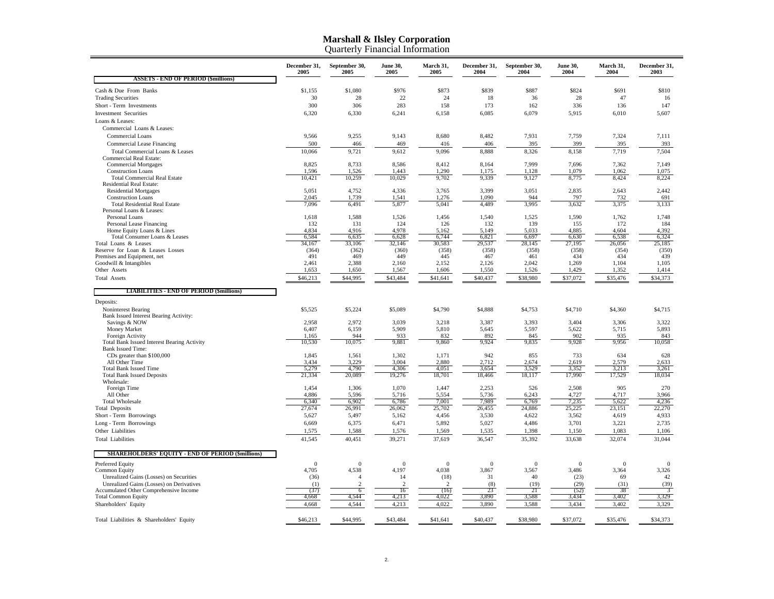|                                                                                     | December 31,<br>2005 | September 30,<br>2005   | <b>June 30,</b><br>2005 | March 31,<br>2005       | December 31,<br>2004  | September 30,<br>2004 | <b>June 30,</b><br>2004 | March 31,<br>2004 | December 31,<br>2003  |
|-------------------------------------------------------------------------------------|----------------------|-------------------------|-------------------------|-------------------------|-----------------------|-----------------------|-------------------------|-------------------|-----------------------|
| <b>ASSETS - END OF PERIOD (\$millions)</b>                                          |                      |                         |                         |                         |                       |                       |                         |                   |                       |
| Cash & Due From Banks                                                               | \$1,155              | \$1,080                 | \$976                   | \$873                   | \$839                 | \$887                 | \$824                   | \$691             | \$810                 |
| <b>Trading Securities</b>                                                           | 30                   | 28                      | 22                      | 24                      | 18                    | 36                    | 28                      | 47                | 16                    |
| Short - Term Investments                                                            | 300                  | 306                     | 283                     | 158                     | 173                   | 162                   | 336                     | 136               | 147                   |
| <b>Investment Securities</b>                                                        | 6,320                | 6,330                   | 6,241                   | 6,158                   | 6,085                 | 6,079                 | 5,915                   | 6,010             | 5,607                 |
| Loans & Leases:                                                                     |                      |                         |                         |                         |                       |                       |                         |                   |                       |
| Commercial Loans & Leases:                                                          |                      |                         |                         |                         |                       |                       |                         |                   |                       |
| Commercial Loans                                                                    | 9,566                | 9,255                   | 9,143                   | 8,680                   | 8,482                 | 7,931                 | 7,759                   | 7,324             | 7,111                 |
| Commercial Lease Financing                                                          | 500                  | 466                     | 469                     | 416                     | 406                   | 395                   | 399                     | 395               | 393                   |
| Total Commercial Loans & Leases                                                     | 10.066               | 9,721                   | 9,612                   | 9,096                   | 8,888                 | 8,326                 | 8,158                   | 7,719             | 7.504                 |
| <b>Commercial Real Estate:</b>                                                      |                      |                         |                         |                         |                       |                       |                         |                   |                       |
| <b>Commercial Mortgages</b>                                                         | 8,825                | 8,733                   | 8,586                   | 8,412                   | 8,164                 | 7,999                 | 7,696                   | 7,362             | 7,149                 |
| <b>Construction Loans</b>                                                           | 1,596                | 1,526                   | 1,443                   | 1,290                   | 1,175                 | 1,128                 | 1,079                   | 1,062             | 1,075                 |
| <b>Total Commercial Real Estate</b>                                                 | 10,421               | 10,259                  | 10,029                  | 9,702                   | 9,339                 | 9,127                 | 8,775                   | 8,424             | 8,224                 |
| <b>Residential Real Estate:</b>                                                     |                      |                         |                         |                         |                       |                       |                         |                   |                       |
| <b>Residential Mortgages</b><br><b>Construction Loans</b>                           | 5,051<br>2,045       | 4,752<br>1,739          | 4,336<br>1,541          | 3,765<br>1,276          | 3,399<br>1.090        | 3,051<br>944          | 2,835<br>797            | 2,643<br>732      | 2,442<br>691          |
| <b>Total Residential Real Estate</b>                                                | 7,096                | 6,491                   | 5,877                   | 5,041                   | 4,489                 | 3,995                 | 3,632                   | 3,375             | 3,133                 |
| Personal Loans & Leases:                                                            |                      |                         |                         |                         |                       |                       |                         |                   |                       |
| Personal Loans                                                                      | 1,618                | 1,588                   | 1,526                   | 1,456                   | 1,540                 | 1,525                 | 1,590                   | 1,762             | 1,748                 |
| Personal Lease Financing                                                            | 132                  | 131                     | 124                     | 126                     | 132                   | 139                   | 155                     | 172               | 184                   |
| Home Equity Loans & Lines                                                           | 4.834                | 4.916                   | 4.978                   | 5.162                   | 5.149                 | 5.033                 | 4.885                   | 4.604             | 4.392                 |
| Total Consumer Loans & Leases                                                       | 6,584                | 6,635                   | 6,628                   | 6,744                   | 6,821                 | 6,697                 | 6,630                   | 6,538             | 6,324                 |
| Total Loans & Leases<br>Reserve for Loan & Leases Losses                            | 34,167               | 33,106<br>(362)         | 32,146<br>(360)         | 30,583<br>(358)         | 29,537<br>(358)       | 28,145<br>(358)       | 27,195<br>(358)         | 26,056            | 25,185<br>(350)       |
| Premises and Equipment, net                                                         | (364)<br>491         | 469                     | 449                     | 445                     | 467                   | 461                   | 434                     | (354)<br>434      | 439                   |
| Goodwill & Intangibles                                                              | 2,461                | 2,388                   | 2,160                   | 2,152                   | 2,126                 | 2,042                 | 1,269                   | 1,104             | 1,105                 |
| Other Assets                                                                        | 1,653                | 1,650                   | 1,567                   | 1,606                   | 1,550                 | 1,526                 | 1,429                   | 1,352             | 1,414                 |
| <b>Total Assets</b>                                                                 | \$46,213             | \$44,995                | \$43,484                | \$41,641                | \$40,437              | \$38,980              | \$37,072                | \$35,476          | \$34,373              |
|                                                                                     |                      |                         |                         |                         |                       |                       |                         |                   |                       |
| <b>LIABILITIES - END OF PERIOD (\$millions)</b>                                     |                      |                         |                         |                         |                       |                       |                         |                   |                       |
| Deposits:                                                                           |                      |                         |                         |                         |                       |                       |                         |                   |                       |
| Noninterest Bearing                                                                 | \$5,525              | \$5,224                 | \$5,089                 | \$4,790                 | \$4,888               | \$4,753               | \$4,710                 | \$4,360           | \$4,715               |
| Bank Issued Interest Bearing Activity:                                              |                      |                         |                         |                         |                       |                       |                         |                   |                       |
| Savings & NOW                                                                       | 2,958                | 2,972                   | 3,039                   | 3,218                   | 3,387                 | 3,393                 | 3,404                   | 3,306             | 3,322                 |
| Money Market                                                                        | 6,407                | 6,159                   | 5,909                   | 5,810                   | 5,645                 | 5,597                 | 5,622                   | 5,715             | 5,893                 |
| Foreign Activity                                                                    | 1,165                | 944                     | 933                     | 832                     | 892                   | 845                   | 902                     | 935               | 843                   |
| <b>Total Bank Issued Interest Bearing Activity</b>                                  | 10,530               | 10,075                  | 9,881                   | 9,860                   | 9,924                 | 9,835                 | 9,928                   | 9,956             | 10,058                |
| <b>Bank Issued Time:</b>                                                            |                      |                         |                         |                         |                       |                       |                         |                   |                       |
| CDs greater than \$100,000                                                          | 1,845                | 1,561                   | 1,302                   | 1,171                   | 942                   | 855                   | 733                     | 634               | 628                   |
| All Other Time                                                                      | 3,434<br>5,279       | 3,229<br>4,790          | 3,004                   | 2,880                   | 2,712                 | 2,674                 | 2,619                   | 2,579             | 2,633                 |
| <b>Total Bank Issued Time</b><br><b>Total Bank Issued Deposits</b>                  | 21,334               | 20,089                  | 4,306<br>19,276         | 4,051<br>18,701         | 3,654<br>18,466       | 3,529<br>18,117       | 3,352<br>17,990         | 3,213<br>17,529   | 3,261<br>18,034       |
| Wholesale:                                                                          |                      |                         |                         |                         |                       |                       |                         |                   |                       |
| Foreign Time                                                                        | 1,454                | 1,306                   | 1,070                   | 1,447                   | 2,253                 | 526                   | 2,508                   | 905               | 270                   |
| All Other                                                                           | 4,886                | 5,596                   | 5,716                   | 5,554                   | 5,736                 | 6,243                 | 4,727                   | 4,717             | 3,966                 |
| <b>Total Wholesale</b>                                                              | 6,340                | 6,902                   | 6,786                   | 7,001                   | 7,989                 | 6,769                 | 7,235                   | 5,622             | 4,236                 |
| <b>Total Deposits</b>                                                               | 27,674               | 26,991                  | 26,062                  | 25,702                  | 26,455                | 24,886                | 25,225                  | 23,151            | 22,270                |
| Short - Term Borrowings                                                             | 5,627                | 5,497                   | 5,162                   | 4,456                   | 3,530                 | 4,622                 | 3,562                   | 4,619             | 4,933                 |
| Long - Term Borrowings                                                              | 6,669                | 6,375                   | 6,471                   | 5,892                   | 5,027                 | 4,486                 | 3,701                   | 3,221             | 2,735                 |
| Other Liabilities                                                                   | 1,575                | 1,588                   | 1,576                   | 1,569                   | 1,535                 | 1,398                 | 1,150                   | 1,083             | 1,106                 |
| <b>Total Liabilities</b>                                                            | 41,545               | 40,451                  | 39,271                  | 37,619                  | 36,547                | 35,392                | 33,638                  | 32,074            | 31,044                |
| <b>SHAREHOLDERS' EQUITY - END OF PERIOD (\$millions)</b>                            |                      |                         |                         |                         |                       |                       |                         |                   |                       |
|                                                                                     | $\Omega$             |                         | $\Omega$                |                         |                       |                       | $\Omega$                |                   |                       |
| Preferred Equity<br><b>Common Equity</b>                                            | 4,705                | $\overline{0}$<br>4,538 | 4,197                   | $\overline{0}$<br>4,038 | $\mathbf{0}$<br>3,867 | $\mathbf{0}$<br>3,567 | 3,486                   | $\theta$<br>3,364 | $\mathbf{0}$<br>3,326 |
|                                                                                     | (36)                 | $\overline{4}$          | 14                      | (18)                    | 31                    | 40                    | (23)                    | 69                | 42                    |
| Unrealized Gains (Losses) on Securities<br>Unrealized Gains (Losses) on Derivatives | (1)                  | $\overline{2}$          | $\overline{2}$          | $\overline{2}$          | (8)                   | (19)                  | (29)                    | (31)              | (39)                  |
| Accumulated Other Comprehensive Income                                              | (37)                 | 6                       | 16                      | (16)                    | 23                    | 21                    | (52)                    | 38                | 3                     |
| <b>Total Common Equity</b>                                                          | 4,668                | 4,544                   | 4,213                   | 4,022                   | 3,890                 | 3,588                 | 3,434                   | 3,402             | 3,329                 |
| Shareholders' Equity                                                                | 4,668                | 4,544                   | 4,213                   | 4,022                   | 3,890                 | 3,588                 | 3,434                   | 3,402             | 3,329                 |
|                                                                                     |                      |                         |                         |                         |                       |                       |                         |                   |                       |
| Total Liabilities & Shareholders' Equity                                            | \$46,213             | \$44,995                | \$43,484                | \$41,641                | \$40,437              | \$38,980              | \$37,072                | \$35,476          | \$34,373              |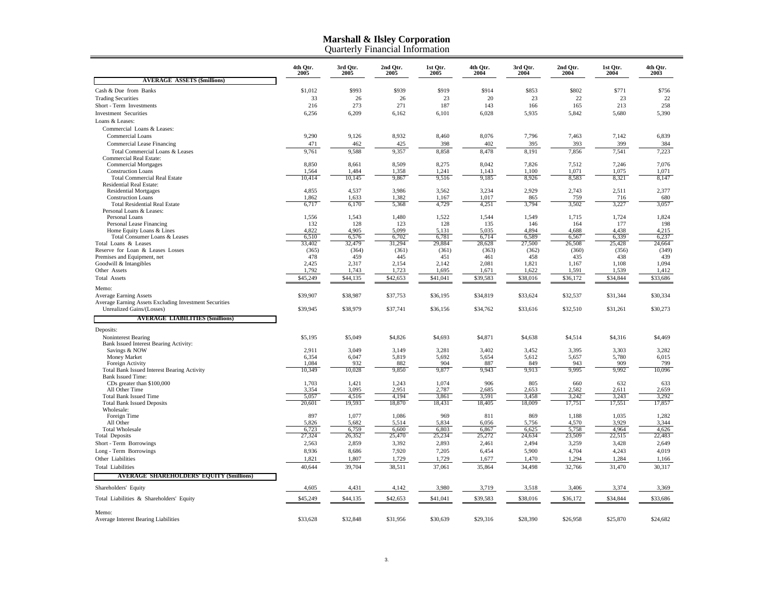|                                                                  | 4th Qtr.<br>2005 | 3rd Qtr.<br>2005 | 2nd Qtr.<br>2005 | 1st Qtr.<br>2005 | 4th Qtr.<br>2004 | 3rd Qtr.<br>2004 | 2nd Qtr.<br>2004 | 1st Qtr.<br>2004 | 4th Qtr.<br>2003 |  |
|------------------------------------------------------------------|------------------|------------------|------------------|------------------|------------------|------------------|------------------|------------------|------------------|--|
| <b>AVERAGE ASSETS (\$millions)</b>                               |                  |                  |                  |                  |                  |                  |                  |                  |                  |  |
| Cash & Due from Banks                                            | \$1,012          | \$993            | \$939            | \$919            | \$914            | \$853            | \$802            | \$771            | \$756            |  |
| <b>Trading Securities</b>                                        | 33               | 26               | 26               | 23               | 20               | 23               | 22               | 23               | 22               |  |
| Short - Term Investments                                         | 216              | 273              | 271              | 187              | 143              | 166              | 165              | 213              | 258              |  |
| <b>Investment Securities</b>                                     | 6,256            | 6,209            | 6,162            | 6,101            | 6,028            | 5,935            | 5,842            | 5,680            | 5,390            |  |
| Loans & Leases:                                                  |                  |                  |                  |                  |                  |                  |                  |                  |                  |  |
| Commercial Loans & Leases:                                       |                  |                  |                  |                  |                  |                  |                  |                  |                  |  |
| <b>Commercial Loans</b>                                          | 9,290            | 9,126            | 8,932            | 8,460            | 8,076            | 7,796            | 7,463            | 7,142            | 6,839            |  |
| Commercial Lease Financing                                       | 471              | 462              | 425              | 398              | 402              | 395              | 393              | 399              | 384              |  |
| Total Commercial Loans & Leases                                  | 9,761            | 9,588            | 9,357            | 8,858            | 8,478            | 8,191            | 7,856            | 7,541            | 7,223            |  |
| <b>Commercial Real Estate:</b><br><b>Commercial Mortgages</b>    | 8,850            | 8,661            | 8,509            | 8,275            | 8,042            | 7,826            | 7,512            | 7,246            | 7,076            |  |
| <b>Construction Loans</b>                                        | 1,564            | 1,484            | 1,358            | 1,241            | 1,143            | 1.100            | 1.071            | 1,075            | 1.071            |  |
| <b>Total Commercial Real Estate</b>                              | 10,414           | 10,145           | 9,867            | 9,516            | 9,185            | 8,926            | 8,583            | 8,321            | 8,147            |  |
| Residential Real Estate:                                         |                  |                  |                  |                  |                  |                  |                  |                  |                  |  |
| <b>Residential Mortgages</b>                                     | 4,855            | 4,537            | 3,986            | 3,562            | 3,234            | 2,929            | 2,743            | 2,511            | 2,377            |  |
| <b>Construction Loans</b>                                        | 1,862            | 1,633            | 1,382            | 1,167            | 1,017            | 865              | 759              | 716              | 680              |  |
| <b>Total Residential Real Estate</b><br>Personal Loans & Leases: | 6,717            | 6,170            | 5,368            | 4,729            | 4,251            | 3,794            | 3,502            | 3,227            | 3,057            |  |
| Personal Loans                                                   | 1,556            | 1,543            | 1,480            | 1,522            | 1,544            | 1,549            | 1,715            | 1,724            | 1,824            |  |
| Personal Lease Financing                                         | 132              | 128              | 123              | 128              | 135              | 146              | 164              | 177              | 198              |  |
| Home Equity Loans & Lines                                        | 4,822            | 4,905            | 5,099            | 5,131            | 5,035            | 4,894            | 4,688            | 4,438            | 4,215            |  |
| Total Consumer Loans & Leases                                    | 6,510            | 6,576            | 6,702            | 6,781            | 6,714            | 6,589            | 6,567            | 6,339            | 6,237            |  |
| Total Loans & Leases                                             | 33,402           | 32,479           | 31,294           | 29,884           | 28,628           | 27,500           | 26,508           | 25,428           | 24,664           |  |
| Reserve for Loan & Leases Losses<br>Premises and Equipment, net  | (365)<br>478     | (364)<br>459     | (361)<br>445     | (361)<br>451     | (363)<br>461     | (362)<br>458     | (360)<br>435     | (356)<br>438     | (349)<br>439     |  |
| Goodwill & Intangibles                                           | 2,425            | 2,317            | 2,154            | 2,142            | 2,081            | 1,821            | 1,167            | 1,108            | 1,094            |  |
| Other Assets                                                     | 1,792            | 1,743            | 1,723            | 1,695            | 1,671            | 1,622            | 1,591            | 1,539            | 1,412            |  |
| <b>Total Assets</b>                                              | \$45,249         | \$44,135         | \$42,653         | \$41,041         | \$39,583         | \$38,016         | \$36,172         | \$34,844         | \$33,686         |  |
|                                                                  |                  |                  |                  |                  |                  |                  |                  |                  |                  |  |
| Memo:<br><b>Average Earning Assets</b>                           | \$39,907         | \$38,987         | \$37,753         | \$36,195         | \$34,819         | \$33,624         | \$32,537         | \$31,344         | \$30,334         |  |
| Average Earning Assets Excluding Investment Securities           |                  |                  |                  |                  |                  |                  |                  |                  |                  |  |
| Unrealized Gains/(Losses)                                        | \$39,945         | \$38,979         | \$37,741         | \$36,156         | \$34,762         | \$33,616         | \$32,510         | \$31,261         | \$30,273         |  |
| <b>AVERAGE LIABILITIES (\$millions)</b>                          |                  |                  |                  |                  |                  |                  |                  |                  |                  |  |
|                                                                  |                  |                  |                  |                  |                  |                  |                  |                  |                  |  |
| Deposits:                                                        |                  |                  |                  |                  |                  |                  |                  |                  |                  |  |
| Noninterest Bearing                                              | \$5,195          | \$5,049          | \$4,826          | \$4,693          | \$4,871          | \$4,638          | \$4,514          | \$4,316          | \$4,469          |  |
| Bank Issued Interest Bearing Activity:<br>Savings & NOW          | 2,911            | 3,049            | 3,149            | 3,281            | 3,402            | 3,452            | 3,395            | 3,303            | 3,282            |  |
| Money Market                                                     | 6,354            | 6,047            | 5,819            | 5,692            | 5,654            | 5,612            | 5,657            | 5,780            | 6,015            |  |
| Foreign Activity                                                 | 1,084            | 932              | 882              | 904              | 887              | 849              | 943              | 909              | 799              |  |
| <b>Total Bank Issued Interest Bearing Activity</b>               | 10,349           | 10,028           | 9,850            | 9,877            | 9,943            | 9,913            | 9,995            | 9,992            | 10,096           |  |
| <b>Bank Issued Time:</b>                                         |                  |                  |                  |                  |                  |                  |                  |                  |                  |  |
| CDs greater than \$100,000<br>All Other Time                     | 1,703<br>3,354   | 1,421<br>3,095   | 1,243<br>2,951   | 1,074<br>2,787   | 906<br>2,685     | 805<br>2,653     | 660<br>2.582     | 632<br>2,611     | 633<br>2.659     |  |
| <b>Total Bank Issued Time</b>                                    | 5,057            | 4,516            | 4,194            | 3,861            | 3,591            | 3,458            | 3,242            | 3,243            | 3,292            |  |
| <b>Total Bank Issued Deposits</b>                                | 20,601           | 19,593           | 18,870           | 18,431           | 18,405           | 18,009           | 17,751           | 17,551           | 17,857           |  |
| Wholesale:                                                       |                  |                  |                  |                  |                  |                  |                  |                  |                  |  |
| Foreign Time                                                     | 897              | 1,077            | 1,086            | 969              | 811              | 869              | 1,188            | 1,035            | 1,282            |  |
| All Other                                                        | 5,826            | 5,682            | 5,514            | 5,834            | 6,056            | 5,756            | 4,570            | 3,929            | 3.344            |  |
| <b>Total Wholesale</b>                                           | 6,723            | 6,759            | 6,600            | 6,803            | 6,867            | 6,625            | 5,758            | 4.964            | 4,626            |  |
| <b>Total Deposits</b>                                            | 27,324           | 26,352           | 25,470           | 25,234           | 25,272           | 24,634           | 23,509           | 22,515           | 22,483           |  |
| Short - Term Borrowings                                          | 2,563            | 2,859            | 3,392            | 2,893            | 2,461            | 2,494            | 3,259            | 3,428            | 2,649            |  |
| Long - Term Borrowings<br>Other Liabilities                      | 8,936            | 8,686            | 7,920            | 7,205            | 6,454            | 5,900            | 4,704            | 4,243            | 4,019            |  |
|                                                                  | 1,821            | 1,807            | 1,729            | 1,729            | 1,677            | 1,470            | 1,294            | 1,284            | 1,166            |  |
| <b>Total Liabilities</b>                                         | 40,644           | 39,704           | 38,511           | 37,061           | 35,864           | 34,498           | 32,766           | 31,470           | 30,317           |  |
| <b>AVERAGE SHAREHOLDERS' EQUITY (\$millions)</b>                 |                  |                  |                  |                  |                  |                  |                  |                  |                  |  |
| Shareholders' Equity                                             | 4,605            | 4,431            | 4,142            | 3,980            | 3,719            | 3,518            | 3,406            | 3,374            | 3,369            |  |
| Total Liabilities & Shareholders' Equity                         | \$45,249         | \$44,135         | \$42,653         | \$41,041         | \$39,583         | \$38,016         | \$36,172         | \$34,844         | \$33,686         |  |
| Memo:                                                            |                  |                  |                  |                  |                  |                  |                  |                  |                  |  |
| Average Interest Bearing Liabilities                             | \$33,628         | \$32,848         | \$31,956         | \$30,639         | \$29,316         | \$28,390         | \$26,958         | \$25,870         | \$24,682         |  |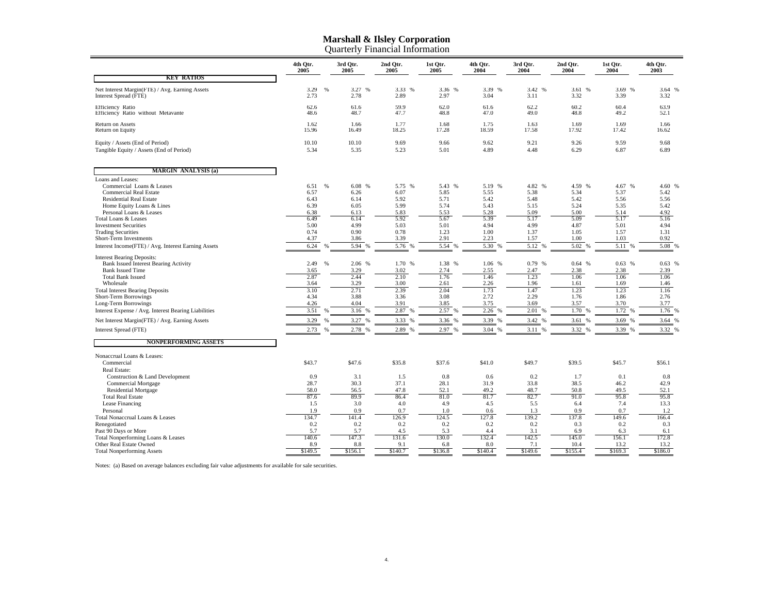|                                                                                                                                                                                                                                                                                                                                                                                                                                                                                                          | 4th Otr.<br>2005                                                                                             |               | 3rd Otr.<br>2005                                                                                                      | 2nd Qtr.<br>2005                                                                                                 | 1st Qtr.<br>2005                                                                                                      | 4th Qtr.<br>2004                                                                                                      | 3rd Otr.<br>2004                                                                                                      | 2nd Qtr.<br>2004                                                                                                     | 1st Qtr.<br>2004                                                                                                        | 4th Otr.<br>2003                                                                                                  |
|----------------------------------------------------------------------------------------------------------------------------------------------------------------------------------------------------------------------------------------------------------------------------------------------------------------------------------------------------------------------------------------------------------------------------------------------------------------------------------------------------------|--------------------------------------------------------------------------------------------------------------|---------------|-----------------------------------------------------------------------------------------------------------------------|------------------------------------------------------------------------------------------------------------------|-----------------------------------------------------------------------------------------------------------------------|-----------------------------------------------------------------------------------------------------------------------|-----------------------------------------------------------------------------------------------------------------------|----------------------------------------------------------------------------------------------------------------------|-------------------------------------------------------------------------------------------------------------------------|-------------------------------------------------------------------------------------------------------------------|
| <b>KEY RATIOS</b>                                                                                                                                                                                                                                                                                                                                                                                                                                                                                        |                                                                                                              |               |                                                                                                                       |                                                                                                                  |                                                                                                                       |                                                                                                                       |                                                                                                                       |                                                                                                                      |                                                                                                                         |                                                                                                                   |
| Net Interest Margin(FTE) / Avg. Earning Assets<br>Interest Spread (FTE)                                                                                                                                                                                                                                                                                                                                                                                                                                  | 3.29<br>2.73                                                                                                 | $\frac{9}{6}$ | 3.27 %<br>2.78                                                                                                        | 3.33<br>$\frac{9}{6}$<br>2.89                                                                                    | 3.36<br>%<br>2.97                                                                                                     | 3.39<br>%<br>3.04                                                                                                     | 3.42 %<br>3.11                                                                                                        | 3.61 %<br>3.32                                                                                                       | 3.69 %<br>3.39                                                                                                          | 3.64 %<br>3.32                                                                                                    |
| Efficiency Ratio<br>Efficiency Ratio without Metavante                                                                                                                                                                                                                                                                                                                                                                                                                                                   | 62.6<br>48.6                                                                                                 |               | 61.6<br>48.7                                                                                                          | 59.9<br>47.7                                                                                                     | 62.0<br>48.8                                                                                                          | 61.6<br>47.0                                                                                                          | 62.2<br>49.0                                                                                                          | 60.2<br>48.8                                                                                                         | 60.4<br>49.2                                                                                                            | 63.9<br>52.1                                                                                                      |
| Return on Assets<br>Return on Equity                                                                                                                                                                                                                                                                                                                                                                                                                                                                     | 1.62<br>15.96                                                                                                |               | 1.66<br>16.49                                                                                                         | 1.77<br>18.25                                                                                                    | 1.68<br>17.28                                                                                                         | 1.75<br>18.59                                                                                                         | 1.63<br>17.58                                                                                                         | 1.69<br>17.92                                                                                                        | 1.69<br>17.42                                                                                                           | 1.66<br>16.62                                                                                                     |
| Equity / Assets (End of Period)<br>Tangible Equity / Assets (End of Period)                                                                                                                                                                                                                                                                                                                                                                                                                              | 10.10<br>5.34                                                                                                |               | 10.10<br>5.35                                                                                                         | 9.69<br>5.23                                                                                                     | 9.66<br>5.01                                                                                                          | 9.62<br>4.89                                                                                                          | 9.21<br>4.48                                                                                                          | 9.26<br>6.29                                                                                                         | 9.59<br>6.87                                                                                                            | 9.68<br>6.89                                                                                                      |
| <b>MARGIN ANALYSIS (a)</b>                                                                                                                                                                                                                                                                                                                                                                                                                                                                               |                                                                                                              |               |                                                                                                                       |                                                                                                                  |                                                                                                                       |                                                                                                                       |                                                                                                                       |                                                                                                                      |                                                                                                                         |                                                                                                                   |
| Loans and Leases:<br>Commercial Loans & Leases<br><b>Commercial Real Estate</b><br><b>Residential Real Estate</b><br>Home Equity Loans & Lines<br>Personal Loans & Leases<br>Total Loans & Leases<br><b>Investment Securities</b><br><b>Trading Securities</b><br>Short-Term Investments<br>Interest Income(FTE) / Avg. Interest Earning Assets<br><b>Interest Bearing Deposits:</b><br><b>Bank Issued Interest Bearing Activity</b><br><b>Bank Issued Time</b><br><b>Total Bank Issued</b><br>Wholesale | 6.51<br>6.57<br>6.43<br>6.39<br>6.38<br>6.49<br>5.00<br>0.74<br>4.37<br>6.24<br>2.49<br>3.65<br>2.87<br>3.64 | %<br>$\%$     | 6.08 %<br>6.26<br>6.14<br>6.05<br>6.13<br>6.14<br>4.99<br>0.90<br>3.86<br>5.94<br>%<br>2.06 %<br>3.29<br>2.44<br>3.29 | 5.75 %<br>6.07<br>5.92<br>5.99<br>5.83<br>5.92<br>5.03<br>0.78<br>3.39<br>5.76<br>1.70 %<br>3.02<br>2.10<br>3.00 | 5.43 %<br>5.85<br>5.71<br>5.74<br>5.53<br>5.67<br>5.01<br>1.23<br>2.91<br>5.54<br>%<br>1.38 %<br>2.74<br>1.76<br>2.61 | 5.19 %<br>5.55<br>5.42<br>5.43<br>5.28<br>5.39<br>4.94<br>1.00<br>2.23<br>5.30<br>%<br>1.06 %<br>2.55<br>1.46<br>2.26 | 4.82 %<br>5.38<br>5.48<br>5.15<br>5.09<br>5.17<br>4.99<br>1.37<br>1.57<br>5.12<br>%<br>0.79 %<br>2.47<br>1.23<br>1.96 | 4.59 %<br>5.34<br>5.42<br>5.24<br>5.00<br>5.09<br>4.87<br>1.05<br>1.00<br>5.02<br>%<br>0.64%<br>2.38<br>1.06<br>1.61 | 4.67<br>%<br>5.37<br>5.56<br>5.35<br>5.14<br>5.17<br>5.01<br>1.57<br>1.03<br>5.11<br>%<br>0.63%<br>2.38<br>1.06<br>1.69 | 4.60 %<br>5.42<br>5.56<br>5.42<br>4.92<br>5.16<br>4.94<br>1.31<br>0.92<br>5.08 %<br>0.63%<br>2.39<br>1.06<br>1.46 |
| <b>Total Interest Bearing Deposits</b><br>Short-Term Borrowings<br>Long-Term Borrowings<br>Interest Expense / Avg. Interest Bearing Liabilities                                                                                                                                                                                                                                                                                                                                                          | 3.10<br>4.34<br>4.26<br>3.51                                                                                 | %             | 2.71<br>3.88<br>4.04<br>3.16 %                                                                                        | 2.39<br>3.36<br>3.91<br>2.87                                                                                     | 2.04<br>3.08<br>3.85<br>2.57<br>%                                                                                     | 1.73<br>2.72<br>3.75<br>2.26                                                                                          | 1.47<br>2.29<br>3.69<br>2.01<br>%                                                                                     | 1.23<br>1.76<br>3.57<br>1.70 %                                                                                       | 1.23<br>1.86<br>3.70<br>1.72<br>%                                                                                       | 1.16<br>2.76<br>3.77<br>1.76 %                                                                                    |
| Net Interest Margin(FTE) / Avg. Earning Assets                                                                                                                                                                                                                                                                                                                                                                                                                                                           | 3.29                                                                                                         | %             | 3.27 %                                                                                                                | 3.33<br>%                                                                                                        | 3.36 %                                                                                                                | 3.39<br>$Q_0$                                                                                                         | 3.42 %                                                                                                                | 3.61 %                                                                                                               | 3.69<br>%                                                                                                               | 3.64 %                                                                                                            |
| Interest Spread (FTE)                                                                                                                                                                                                                                                                                                                                                                                                                                                                                    | 2.73                                                                                                         | %             | 2.78 %                                                                                                                | 2.89<br>%                                                                                                        | 2.97 %                                                                                                                | 3.04<br>$\frac{0}{6}$                                                                                                 | 3.11 %                                                                                                                | 3.32 %                                                                                                               | 3.39 %                                                                                                                  | 3.32 %                                                                                                            |
| <b>NONPERFORMING ASSETS</b><br>Nonaccrual Loans & Leases:                                                                                                                                                                                                                                                                                                                                                                                                                                                |                                                                                                              |               |                                                                                                                       |                                                                                                                  |                                                                                                                       |                                                                                                                       |                                                                                                                       |                                                                                                                      |                                                                                                                         |                                                                                                                   |
| Commercial<br>Real Estate:                                                                                                                                                                                                                                                                                                                                                                                                                                                                               | \$43.7                                                                                                       |               | \$47.6                                                                                                                | \$35.8                                                                                                           | \$37.6                                                                                                                | \$41.0                                                                                                                | \$49.7                                                                                                                | \$39.5                                                                                                               | \$45.7                                                                                                                  | \$56.1                                                                                                            |
| Construction & Land Development<br><b>Commercial Mortgage</b><br><b>Residential Mortgage</b><br><b>Total Real Estate</b><br>Lease Financing<br>Personal                                                                                                                                                                                                                                                                                                                                                  | 0.9<br>28.7<br>58.0<br>87.6<br>1.5<br>1.9                                                                    |               | 3.1<br>30.3<br>56.5<br>89.9<br>3.0<br>0.9                                                                             | 1.5<br>37.1<br>47.8<br>86.4<br>4.0<br>0.7                                                                        | 0.8<br>28.1<br>52.1<br>81.0<br>4.9<br>1.0                                                                             | 0.6<br>31.9<br>49.2<br>81.7<br>4.5<br>0.6                                                                             | 0.2<br>33.8<br>48.7<br>82.7<br>5.5<br>1.3                                                                             | 1.7<br>38.5<br>50.8<br>91.0<br>6.4<br>0.9                                                                            | 0.1<br>46.2<br>49.5<br>95.8<br>7.4<br>0.7                                                                               | 0.8<br>42.9<br>52.1<br>95.8<br>13.3<br>1.2                                                                        |
| Total Nonaccrual Loans & Leases<br>Renegotiated<br>Past 90 Days or More<br>Total Nonperforming Loans & Leases                                                                                                                                                                                                                                                                                                                                                                                            | 134.7<br>0.2<br>5.7<br>140.6                                                                                 |               | 141.4<br>0.2<br>5.7<br>147.3                                                                                          | 126.9<br>0.2<br>4.5<br>131.6                                                                                     | 124.5<br>0.2<br>5.3<br>130.0                                                                                          | 127.8<br>0.2<br>4.4<br>132.4                                                                                          | 139.2<br>0.2<br>3.1<br>142.5                                                                                          | 137.8<br>0.3<br>6.9<br>145.0                                                                                         | 149.6<br>0.2<br>6.3<br>156.1                                                                                            | 166.4<br>0.3<br>6.1<br>172.8                                                                                      |
| Other Real Estate Owned<br><b>Total Nonperforming Assets</b>                                                                                                                                                                                                                                                                                                                                                                                                                                             | 8.9<br>\$149.5                                                                                               |               | 8.8<br>\$156.1                                                                                                        | 9.1<br>\$140.7                                                                                                   | 6.8<br>\$136.8                                                                                                        | 8.0<br>\$140.4                                                                                                        | 7.1<br>\$149.6                                                                                                        | 10.4<br>\$155.4                                                                                                      | 13.2<br>\$169.3                                                                                                         | 13.2<br>\$186.0                                                                                                   |

Notes: (a) Based on average balances excluding fair value adjustments for available for sale securities.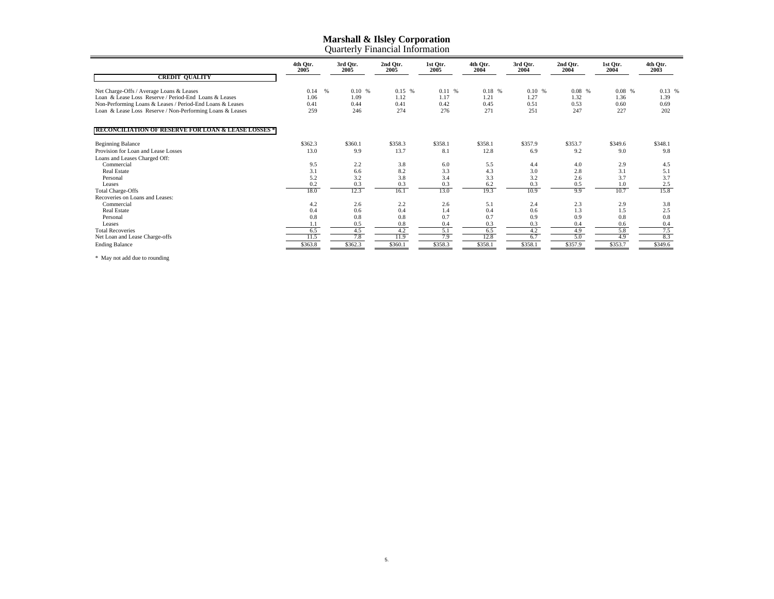|                                                                | 4th Otr.<br>2005 | 3rd Otr.<br>2005 | 2nd Otr.<br>2005 | 1st Qtr.<br>2005 | 4th Otr.<br>2004 | 3rd Otr.<br>2004 | 2nd Otr.<br>2004 | 1st Otr.<br>2004 | 4th Qtr.<br>2003 |  |  |
|----------------------------------------------------------------|------------------|------------------|------------------|------------------|------------------|------------------|------------------|------------------|------------------|--|--|
| <b>CREDIT QUALITY</b>                                          |                  |                  |                  |                  |                  |                  |                  |                  |                  |  |  |
| Net Charge-Offs / Average Loans & Leases                       | 0.14             | $\%$<br>0.10%    | 0.15 %           | 0.11 %           | 0.18%            | 0.10%            | $0.08\%$         | $0.08\%$         | 0.13%            |  |  |
| Loan & Lease Loss Reserve / Period-End Loans & Leases          | 1.06             | 1.09             | 1.12             | 1.17             | 1.21             | 1.27             | 1.32             | 1.36             | 1.39             |  |  |
| Non-Performing Loans & Leases / Period-End Loans & Leases      | 0.41             | 0.44             | 0.41             | 0.42             | 0.45             | 0.51             | 0.53             | 0.60             | 0.69             |  |  |
| Loan & Lease Loss Reserve / Non-Performing Loans & Leases      | 259              | 246              | 274              | 276              | 271              | 251              | 247              | 227              | 202              |  |  |
| <b>RECONCILIATION OF RESERVE FOR LOAN &amp; LEASE LOSSES *</b> |                  |                  |                  |                  |                  |                  |                  |                  |                  |  |  |
|                                                                |                  |                  |                  |                  |                  |                  |                  |                  |                  |  |  |
| <b>Beginning Balance</b>                                       | \$362.3          | \$360.1          | \$358.3          | \$358.1          | \$358.1          | \$357.9          | \$353.7          | \$349.6          | \$348.1          |  |  |
| Provision for Loan and Lease Losses                            | 13.0             | 9.9              | 13.7             | 8.1              | 12.8             | 6.9              | 9.2              | 9.0              | 9.8              |  |  |
| Loans and Leases Charged Off:                                  |                  |                  |                  |                  |                  |                  |                  |                  |                  |  |  |
| Commercial                                                     | 9.5              | 2.2              | 3.8              | 6.0              | 5.5              | 4.4              | 4.0              | 2.9              | 4.5              |  |  |
| <b>Real Estate</b>                                             | 3.1              | 6.6              | 8.2              | 3.3              | 4.3              | 3.0              | 2.8              | 3.1              | 5.1              |  |  |
| Personal                                                       | 5.2              | 3.2              | 3.8              | 3.4              | 3.3              | 3.2              | 2.6              | 3.7              | 3.7              |  |  |
| Leases                                                         | 0.2              | 0.3              | 0.3              | 0.3              | 6.2              | 0.3              | 0.5              | 1.0              | 2.5              |  |  |
| <b>Total Charge-Offs</b>                                       | 18.0             | 12.3             | 16.1             | 13.0             | 19.3             | 10.9             | 9.9              | 10.7             | 15.8             |  |  |
| Recoveries on Loans and Leases:                                |                  |                  |                  |                  |                  |                  |                  |                  |                  |  |  |
| Commercial                                                     | 4.2              | 2.6              | 2.2              | 2.6              | 5.1              | 2.4              | 2.3              | 2.9              | 3.8              |  |  |
| Real Estate                                                    | 0.4              | 0.6              | 0.4              | 1.4              | 0.4              | 0.6              | 1.3              | 1.5              | 2.5              |  |  |
| Personal                                                       | 0.8              | 0.8              | 0.8              | 0.7              | 0.7              | 0.9              | 0.9              | 0.8              | 0.8              |  |  |
| Leases                                                         |                  | 0.5              | 0.8              | 0.4              | 0.3              | 0.3              | 0.4              | 0.6              | 0.4              |  |  |
| <b>Total Recoveries</b>                                        | 6.5              | 4.5              | 4.2              | 5.1              | 6.5              | 4.2              | 4.9              | 5.8              | 7.5              |  |  |
| Net Loan and Lease Charge-offs                                 | 11.5             | 7.8              | 11.9             | 7.9              | 12.8             | 6.7              | 5.0              | 4.9              | 8.3              |  |  |
| <b>Ending Balance</b>                                          | \$363.8          | \$362.3          | \$360.1          | \$358.3          | \$358.1          | \$358.1          | \$357.9          | \$353.7          | \$349.6          |  |  |

\* May not add due to rounding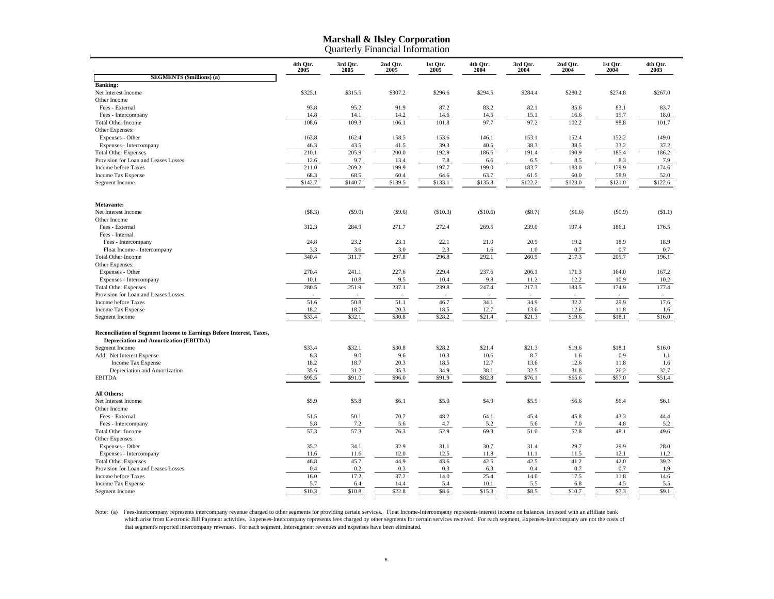|                                                                      | 4th Qtr.<br>2005 | 3rd Qtr.<br>2005 | 2nd Qtr.<br>2005 | 1st Qtr.<br>2005 | 4th Qtr.<br>2004 | 3rd Qtr.<br>2004 | 2nd Qtr.<br>2004 | 1st Qtr.<br>2004 | 4th Qtr.<br>2003 |
|----------------------------------------------------------------------|------------------|------------------|------------------|------------------|------------------|------------------|------------------|------------------|------------------|
| <b>SEGMENTS</b> (\$millions) (a)                                     |                  |                  |                  |                  |                  |                  |                  |                  |                  |
| <b>Banking:</b>                                                      |                  |                  |                  |                  |                  |                  |                  |                  |                  |
| Net Interest Income                                                  | \$325.1          | \$315.5          | \$307.2          | \$296.6          | \$294.5          | \$284.4          | \$280.2          | \$274.8          | \$267.0          |
| Other Income                                                         |                  |                  |                  |                  |                  |                  |                  |                  |                  |
| Fees - External                                                      | 93.8             | 95.2             | 91.9             | 87.2             | 83.2             | 82.1             | 85.6             | 83.1             | 83.7             |
| Fees - Intercompany                                                  | 14.8             | 14.1             | 14.2             | 14.6             | 14.5             | 15.1             | 16.6             | 15.7             | 18.0             |
| <b>Total Other Income</b>                                            | 108.6            | 109.3            | 106.1            | 101.8            | 97.7             | 97.2             | 102.2            | 98.8             | 101.7            |
| Other Expenses:                                                      |                  |                  |                  |                  |                  |                  |                  |                  |                  |
| Expenses - Other                                                     | 163.8            | 162.4            | 158.5            | 153.6            | 146.1            | 153.1            | 152.4            | 152.2            | 149.0            |
| Expenses - Intercompany                                              | 46.3             | 43.5             | 41.5             | 39.3             | 40.5             | 38.3             | 38.5             | 33.2             | 37.2             |
| <b>Total Other Expenses</b>                                          | 210.1            | 205.9            | 200.0            | 192.9            | 186.6            | 191.4            | 190.9            | 185.4            | 186.2            |
| Provision for Loan and Leases Losses                                 | 12.6             | 9.7              | 13.4             | 7.8              | 6.6              | 6.5              | 8.5              | 8.3              | 7.9              |
| Income before Taxes                                                  | 211.0            | 209.2            | 199.9            | 197.7            | 199.0            | 183.7            | 183.0            | 179.9            | 174.6            |
| Income Tax Expense                                                   | 68.3             | 68.5             | 60.4             | 64.6             | 63.7             | 61.5             | 60.0             | 58.9             | 52.0             |
|                                                                      | \$142.7          | \$140.7          | \$139.5          | \$133.1          | \$135.3          | \$122.2          | \$123.0          | \$121.0          | \$122.6          |
| Segment Income                                                       |                  |                  |                  |                  |                  |                  |                  |                  |                  |
| Metavante:                                                           |                  |                  |                  |                  |                  |                  |                  |                  |                  |
| Net Interest Income                                                  | (\$8.3)          | $(\$9.0)$        | (\$9.6)          | (\$10.3)         | (\$10.6)         | (\$8.7)          | (\$1.6)          | $(\$0.9)$        | (\$1.1)          |
| Other Income                                                         |                  |                  |                  |                  |                  |                  |                  |                  |                  |
| Fees - External                                                      | 312.3            | 284.9            | 271.7            | 272.4            | 269.5            | 239.0            | 197.4            | 186.1            | 176.5            |
| Fees - Internal                                                      |                  |                  |                  |                  |                  |                  |                  |                  |                  |
| Fees - Intercompany                                                  | 24.8             | 23.2             | 23.1             | 22.1             | 21.0             | 20.9             | 19.2             | 18.9             | 18.9             |
| Float Income - Intercompany                                          | 3.3              | 3.6              | 3.0              | 2.3              | 1.6              | 1.0              | 0.7              | 0.7              | 0.7              |
| <b>Total Other Income</b>                                            | 340.4            | 311.7            | 297.8            | 296.8            | 292.1            | 260.9            | 217.3            | 205.7            | 196.1            |
| Other Expenses:                                                      |                  |                  |                  |                  |                  |                  |                  |                  |                  |
| Expenses - Other                                                     | 270.4            | 241.1            | 227.6            | 229.4            | 237.6            | 206.1            | 171.3            | 164.0            | 167.2            |
| Expenses - Intercompany                                              | 10.1             | 10.8             | 9.5              | 10.4             | 9.8              | 11.2             | 12.2             | 10.9             | 10.2             |
| <b>Total Other Expenses</b>                                          | 280.5            | 251.9            | 237.1            | 239.8            | 247.4            | 217.3            | 183.5            | 174.9            | 177.4            |
| Provision for Loan and Leases Losses                                 |                  |                  |                  |                  |                  |                  |                  |                  |                  |
| Income before Taxes                                                  | 51.6             | 50.8             | 51.1             | 46.7             | 34.1             | 34.9             | 32.2             | 29.9             | 17.6             |
|                                                                      |                  |                  |                  |                  |                  |                  |                  |                  |                  |
| Income Tax Expense                                                   | 18.2             | 18.7             | 20.3             | 18.5             | 12.7             | 13.6             | 12.6             | 11.8             | 1.6              |
| Segment Income                                                       | \$33.4           | \$32.1           | \$30.8           | \$28.2           | \$21.4           | \$21.3           | \$19.6           | \$18.1           | \$16.0           |
| Reconciliation of Segment Income to Earnings Before Interest, Taxes, |                  |                  |                  |                  |                  |                  |                  |                  |                  |
| <b>Depreciation and Amortization (EBITDA)</b>                        |                  |                  |                  |                  |                  |                  |                  |                  |                  |
| Segment Income                                                       | \$33.4           | \$32.1           | \$30.8           | \$28.2           | \$21.4           | \$21.3           | \$19.6           | \$18.1           | \$16.0           |
| Add: Net Interest Expense                                            | 8.3              | 9.0              | 9.6              | 10.3             | 10.6             | 8.7              | 1.6              | 0.9              | 1.1              |
| Income Tax Expense                                                   | 18.2             | 18.7             | 20.3             | 18.5             | 12.7             | 13.6             | 12.6             | 11.8             | 1.6              |
| Depreciation and Amortization                                        | 35.6             | 31.2             | 35.3             | 34.9             | 38.1             | 32.5             | 31.8             | 26.2             | 32.7             |
| <b>EBITDA</b>                                                        | \$95.5           | \$91.0           | \$96.0           | \$91.9           | \$82.8           | \$76.1           | \$65.6           | \$57.0           | \$51.4           |
| <b>All Others:</b>                                                   |                  |                  |                  |                  |                  |                  |                  |                  |                  |
| Net Interest Income                                                  | \$5.9            | \$5.8            | \$6.1            | \$5.0            | \$4.9            | \$5.9            | \$6.6            | \$6.4            | \$6.1            |
| Other Income                                                         |                  |                  |                  |                  |                  |                  |                  |                  |                  |
| Fees - External                                                      | 51.5             | 50.1             | 70.7             | 48.2             | 64.1             | 45.4             | 45.8             | 43.3             | 44.4             |
| Fees - Intercompany                                                  | 5.8              | 7.2              | 5.6              | 4.7              | 5.2              | 5.6              | 7.0              | 4.8              | 5.2              |
| <b>Total Other Income</b>                                            | 57.3             | 57.3             | 76.3             | 52.9             | 69.3             | 51.0             | 52.8             | 48.1             | 49.6             |
| Other Expenses:                                                      |                  |                  |                  |                  |                  |                  |                  |                  |                  |
| Expenses - Other                                                     | 35.2             | 34.1             | 32.9             | 31.1             | 30.7             | 31.4             | 29.7             | 29.9             | 28.0             |
| Expenses - Intercompany                                              | 11.6             | 11.6             | 12.0             | 12.5             | 11.8             | 11.1             | 11.5             | 12.1             | 11.2             |
| <b>Total Other Expenses</b>                                          | 46.8             | 45.7             | 44.9             | 43.6             | 42.5             | 42.5             | 41.2             | 42.0             | 39.2             |
| Provision for Loan and Leases Losses                                 | 0.4              | 0.2              | 0.3              | 0.3              | 6.3              | 0.4              | 0.7              | 0.7              | 1.9              |
| Income before Taxes                                                  | 16.0             | 17.2             | 37.2             | 14.0             | 25.4             | 14.0             | 17.5             | 11.8             | 14.6             |
| Income Tax Expense                                                   | 5.7              | 6.4              | 14.4             | 5.4              | 10.1             | 5.5              | 6.8              | 4.5              | 5.5              |
| Segment Income                                                       | \$10.3           | \$10.8           | \$22.8           | \$8.6            | \$15.3           | \$8.5            | \$10.7           | \$7.3            | \$9.1            |
|                                                                      |                  |                  |                  |                  |                  |                  |                  |                  |                  |

Note: (a) Fees-Intercompany represents intercompany revenue charged to other segments for providing certain services. Float Income-Intercompany represents interest income on balances invested with an affiliate bank which arise from Electronic Bill Payment activities. Expenses-Intercompany represents fees charged by other segments for certain services received. For each segment, Expenses-Intercompany are not the costs of<br>that segment'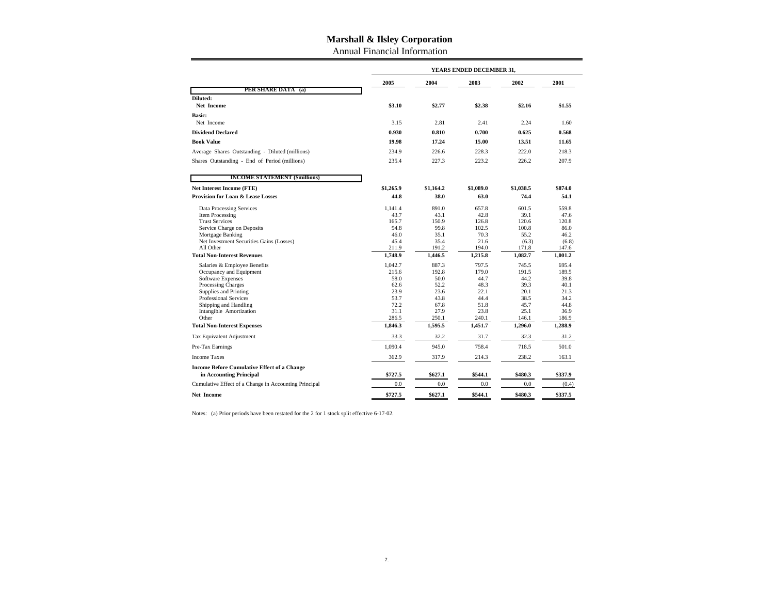Annual Financial Information

|                                                       |                  | YEARS ENDED DECEMBER 31, |                |                |                |  |  |  |  |  |  |
|-------------------------------------------------------|------------------|--------------------------|----------------|----------------|----------------|--|--|--|--|--|--|
|                                                       | 2005             | 2004                     | 2003           | 2002           | 2001           |  |  |  |  |  |  |
| PER SHARE DATA (a)                                    |                  |                          |                |                |                |  |  |  |  |  |  |
| Diluted:<br>Net Income                                | \$3.10           | \$2.77                   | \$2.38         | \$2.16         | \$1.55         |  |  |  |  |  |  |
| <b>Basic:</b>                                         |                  |                          |                |                |                |  |  |  |  |  |  |
| Net Income                                            | 3.15             | 2.81                     | 2.41           | 2.24           | 1.60           |  |  |  |  |  |  |
| <b>Dividend Declared</b>                              | 0.930            | 0.810                    | 0.700          | 0.625          | 0.568          |  |  |  |  |  |  |
| <b>Book Value</b>                                     | 19.98            | 17.24                    | 15.00          | 13.51          | 11.65          |  |  |  |  |  |  |
| Average Shares Outstanding - Diluted (millions)       | 234.9            | 226.6                    | 228.3          | 222.0          | 218.3          |  |  |  |  |  |  |
| Shares Outstanding - End of Period (millions)         | 235.4            | 227.3                    | 223.2          | 226.2          | 207.9          |  |  |  |  |  |  |
| <b>INCOME STATEMENT (\$millions)</b>                  |                  |                          |                |                |                |  |  |  |  |  |  |
| <b>Net Interest Income (FTE)</b>                      | \$1,265.9        | \$1.164.2                | \$1,089.0      | \$1.038.5      | \$874.0        |  |  |  |  |  |  |
| <b>Provision for Loan &amp; Lease Losses</b>          | 44.8             | 38.0                     | 63.0           | 74.4           | 54.1           |  |  |  |  |  |  |
| <b>Data Processing Services</b>                       | 1.141.4          | 891.0                    | 657.8          | 601.5          | 559.8          |  |  |  |  |  |  |
| Item Processing                                       | 43.7             | 43.1                     | 42.8           | 39.1           | 47.6           |  |  |  |  |  |  |
| <b>Trust Services</b>                                 | 165.7            | 150.9                    | 126.8          | 120.6          | 120.8          |  |  |  |  |  |  |
| Service Charge on Deposits                            | 94.8             | 99.8                     | 102.5          | 100.8          | 86.0           |  |  |  |  |  |  |
| Mortgage Banking                                      | 46.0             | 35.1                     | 70.3           | 55.2           | 46.2           |  |  |  |  |  |  |
| Net Investment Securities Gains (Losses)<br>All Other | 45.4<br>211.9    | 35.4<br>191.2            | 21.6<br>194.0  | (6.3)<br>171.8 | (6.8)<br>147.6 |  |  |  |  |  |  |
| <b>Total Non-Interest Revenues</b>                    | 1,748.9          | 1,446.5                  | 1,215.8        | 1,082.7        | 1,001.2        |  |  |  |  |  |  |
|                                                       |                  |                          |                |                |                |  |  |  |  |  |  |
| Salaries & Employee Benefits                          | 1,042.7<br>215.6 | 887.3<br>192.8           | 797.5<br>179.0 | 745.5<br>191.5 | 695.4<br>189.5 |  |  |  |  |  |  |
| Occupancy and Equipment<br>Software Expenses          | 58.0             | 50.0                     | 44.7           | 44.2           | 39.8           |  |  |  |  |  |  |
| Processing Charges                                    | 62.6             | 52.2                     | 48.3           | 39.3           | 40.1           |  |  |  |  |  |  |
| <b>Supplies and Printing</b>                          | 23.9             | 23.6                     | 22.1           | 20.1           | 21.3           |  |  |  |  |  |  |
| <b>Professional Services</b>                          | 53.7             | 43.8                     | 44.4           | 38.5           | 34.2           |  |  |  |  |  |  |
| Shipping and Handling                                 | 72.2             | 67.8                     | 51.8           | 45.7           | 44.8           |  |  |  |  |  |  |
| Intangible Amortization                               | 31.1             | 27.9                     | 23.8           | 25.1           | 36.9           |  |  |  |  |  |  |
| Other                                                 | 286.5            | 250.1                    | 240.1          | 146.1          | 186.9          |  |  |  |  |  |  |
| <b>Total Non-Interest Expenses</b>                    | 1.846.3          | 1.595.5                  | 1.451.7        | 1.296.0        | 1.288.9        |  |  |  |  |  |  |
| Tax Equivalent Adjustment                             | 33.3             | 32.2                     | 31.7           | 32.3           | 31.2           |  |  |  |  |  |  |
| Pre-Tax Earnings                                      | 1,090.4          | 945.0                    | 758.4          | 718.5          | 501.0          |  |  |  |  |  |  |
| <b>Income Taxes</b>                                   | 362.9            | 317.9                    | 214.3          | 238.2          | 163.1          |  |  |  |  |  |  |
| <b>Income Before Cumulative Effect of a Change</b>    |                  |                          |                |                |                |  |  |  |  |  |  |
| in Accounting Principal                               | \$727.5          | \$627.1                  | \$544.1        | \$480.3        | \$337.9        |  |  |  |  |  |  |
| Cumulative Effect of a Change in Accounting Principal | 0.0              | $0.0\,$                  | 0.0            | 0.0            | (0.4)          |  |  |  |  |  |  |
| <b>Net Income</b>                                     | \$727.5          | \$627.1                  | \$544.1        | \$480.3        | \$337.5        |  |  |  |  |  |  |

Notes: (a) Prior periods have been restated for the 2 for 1 stock split effective 6-17-02.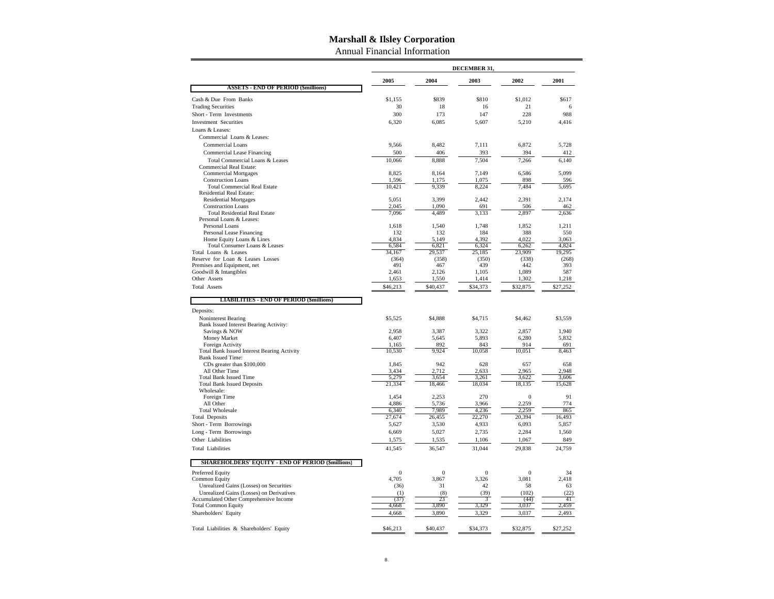Annual Financial Information

|                                                                   |                         |                       | DECEMBER 31,          |                       |                 |
|-------------------------------------------------------------------|-------------------------|-----------------------|-----------------------|-----------------------|-----------------|
|                                                                   | 2005                    | 2004                  | 2003                  | 2002                  | 2001            |
| <b>ASSETS - END OF PERIOD (\$millions)</b>                        |                         |                       |                       |                       |                 |
| Cash & Due From Banks                                             | \$1.155                 | \$839                 | \$810                 | \$1,012               | \$617           |
| <b>Trading Securities</b>                                         | 30                      | 18                    | 16                    | 21                    | 6               |
| Short - Term Investments                                          | 300                     | 173                   | 147                   | 228                   | 988             |
| <b>Investment Securities</b>                                      | 6,320                   | 6,085                 | 5,607                 | 5,210                 | 4,416           |
| Loans & Leases:                                                   |                         |                       |                       |                       |                 |
| Commercial Loans & Leases:                                        |                         |                       |                       |                       |                 |
| Commercial Loans                                                  | 9,566                   | 8,482                 | 7,111                 | 6,872                 | 5,728           |
| Commercial Lease Financing                                        | 500                     | 406                   | 393                   | 394                   | 412             |
| Total Commercial Loans & Leases<br><b>Commercial Real Estate:</b> | 10,066                  | 8,888                 | 7,504                 | 7,266                 | 6,140           |
| <b>Commercial Mortgages</b>                                       | 8,825                   | 8,164                 | 7,149                 | 6,586                 | 5,099           |
| <b>Construction Loans</b>                                         | 1,596                   | 1,175                 | 1,075                 | 898                   | 596             |
| <b>Total Commercial Real Estate</b>                               | 10,421                  | 9,339                 | 8,224                 | 7,484                 | 5,695           |
| Residential Real Estate:                                          |                         |                       |                       | 2,391                 |                 |
| <b>Residential Mortgages</b><br><b>Construction Loans</b>         | 5,051<br>2,045          | 3,399<br>1,090        | 2,442<br>691          | 506                   | 2,174<br>462    |
| <b>Total Residential Real Estate</b>                              | 7,096                   | 4,489                 | 3,133                 | 2,897                 | 2,636           |
| Personal Loans & Leases:                                          |                         |                       |                       |                       |                 |
| Personal Loans                                                    | 1,618                   | 1,540                 | 1,748                 | 1,852                 | 1,211           |
| Personal Lease Financing                                          | 132                     | 132                   | 184                   | 388                   | 550             |
| Home Equity Loans & Lines                                         | 4,834                   | 5,149                 | 4,392                 | 4,022                 | 3,063           |
| Total Consumer Loans & Leases<br>Total Loans & Leases             | 6,584<br>34,167         | 6,821<br>29,537       | 6,324<br>25,185       | 6,262<br>23,909       | 4,824<br>19,295 |
| Reserve for Loan & Leases Losses                                  | (364)                   | (358)                 | (350)                 | (338)                 | (268)           |
| Premises and Equipment, net                                       | 491                     | 467                   | 439                   | 442                   | 393             |
| Goodwill & Intangibles                                            | 2,461                   | 2,126                 | 1,105                 | 1,089                 | 587             |
| Other Assets                                                      | 1,653                   | 1,550                 | 1,414                 | 1,302                 | 1,218           |
| <b>Total Assets</b>                                               | \$46,213                | \$40,437              | \$34,373              | \$32,875              | \$27,252        |
| <b>LIABILITIES - END OF PERIOD (\$millions)</b>                   |                         |                       |                       |                       |                 |
| Deposits:                                                         |                         |                       |                       |                       |                 |
| Noninterest Bearing<br>Bank Issued Interest Bearing Activity:     | \$5,525                 | \$4,888               | \$4,715               | \$4,462               | \$3,559         |
| Savings & NOW                                                     | 2,958                   | 3,387                 | 3,322                 | 2,857                 | 1,940           |
| Money Market                                                      | 6,407                   | 5,645                 | 5,893                 | 6,280                 | 5,832           |
| Foreign Activity                                                  | 1,165                   | 892                   | 843                   | 914                   | 691             |
| <b>Total Bank Issued Interest Bearing Activity</b>                | 10,530                  | 9,924                 | 10,058                | 10,051                | 8,463           |
| <b>Bank Issued Time:</b>                                          |                         |                       |                       |                       |                 |
| CDs greater than \$100,000<br>All Other Time                      | 1,845<br>3,434          | 942<br>2,712          | 628<br>2,633          | 657<br>2,965          | 658<br>2.948    |
| <b>Total Bank Issued Time</b>                                     | 5,279                   | 3,654                 | 3,261                 | 3,622                 | 3,606           |
| <b>Total Bank Issued Deposits</b>                                 | 21,334                  | 18,466                | 18,034                | 18,135                | 15,628          |
| Wholesale:                                                        |                         |                       |                       |                       |                 |
| Foreign Time                                                      | 1,454                   | 2,253                 | 270                   | $\mathbf{0}$          | 91              |
| All Other                                                         | 4,886                   | 5,736                 | 3,966                 | 2,259                 | 774             |
| <b>Total Wholesale</b><br><b>Total Deposits</b>                   | 6,340<br>27,674         | 7,989<br>26,455       | 4,236<br>22,270       | 2,259<br>20,394       | 865<br>16,493   |
| Short - Term Borrowings                                           | 5,627                   | 3,530                 | 4,933                 | 6,093                 | 5,857           |
| Long - Term Borrowings                                            | 6,669                   | 5,027                 | 2,735                 | 2,284                 | 1,560           |
| Other Liabilities                                                 | 1,575                   | 1,535                 | 1,106                 | 1,067                 | 849             |
| <b>Total Liabilities</b>                                          | 41,545                  | 36,547                | 31,044                | 29,838                | 24,759          |
|                                                                   |                         |                       |                       |                       |                 |
| <b>SHAREHOLDERS' EQUITY - END OF PERIOD (\$millions)</b>          |                         |                       |                       |                       |                 |
| Preferred Equity<br><b>Common Equity</b>                          | $\overline{0}$<br>4,705 | $\mathbf{0}$<br>3,867 | $\mathbf{0}$<br>3,326 | $\mathbf{0}$<br>3,081 | 34<br>2,418     |
| Unrealized Gains (Losses) on Securities                           | (36)                    | 31                    | 42                    | 58                    | 63              |
| Unrealized Gains (Losses) on Derivatives                          | (1)                     | (8)                   | (39)                  | (102)                 | (22)            |
| Accumulated Other Comprehensive Income                            | (37)                    | 23                    | 3                     | (44)                  | 41              |
| <b>Total Common Equity</b>                                        | 4,668                   | 3,890                 | 3,329                 | 3,037                 | 2,459           |
| Shareholders' Equity                                              | 4,668                   | 3,890                 | 3,329                 | 3,037                 | 2,493           |
| Total Liabilities & Shareholders' Equity                          | \$46,213                | \$40,437              | \$34,373              | \$32,875              | \$27,252        |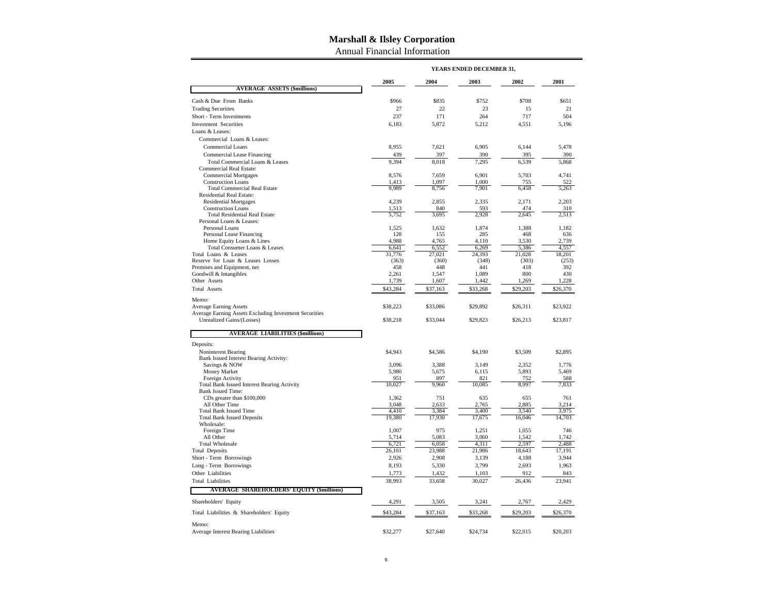Annual Financial Information

|                                                                  |                | YEARS ENDED DECEMBER 31, |                |                |                |
|------------------------------------------------------------------|----------------|--------------------------|----------------|----------------|----------------|
|                                                                  | 2005           | 2004                     | 2003           | 2002           | 2001           |
| <b>AVERAGE ASSETS (\$millions)</b>                               |                |                          |                |                |                |
| Cash & Due From Banks                                            | \$966          | \$835                    | \$752          | \$708          | \$651          |
| <b>Trading Securities</b>                                        | 27             | 22                       | 23             | 15             | 21             |
| Short - Term Investments                                         | 237            | 171                      | 264            | 717            | 504            |
| <b>Investment Securities</b>                                     | 6,183          | 5.872                    | 5,212          | 4,551          | 5,196          |
| Loans & Leases:                                                  |                |                          |                |                |                |
| Commercial Loans & Leases:                                       |                |                          |                |                |                |
| Commercial Loans                                                 | 8,955          | 7,621                    | 6,905          | 6,144          | 5,478          |
| Commercial Lease Financing                                       | 439            | 397                      | 390            | 395            | 390            |
| Total Commercial Loans & Leases                                  | 9,394          | 8,018                    | 7,295          | 6,539          | 5,868          |
| <b>Commercial Real Estate:</b>                                   |                |                          |                |                |                |
| <b>Commercial Mortgages</b>                                      | 8,576          | 7,659                    | 6,901          | 5,703          | 4,741          |
| <b>Construction Loans</b><br><b>Total Commercial Real Estate</b> | 1,413<br>9,989 | 1,097<br>8,756           | 1,000<br>7,901 | 755<br>6,458   | 522<br>5,263   |
| Residential Real Estate:                                         |                |                          |                |                |                |
| <b>Residential Mortgages</b>                                     | 4,239          | 2,855                    | 2,335          | 2,171          | 2,203          |
| <b>Construction Loans</b>                                        | 1,513          | 840                      | 593            | 474            | 310            |
| <b>Total Residential Real Estate</b>                             | 5,752          | 3,695                    | 2,928          | 2,645          | 2,513          |
| Personal Loans & Leases:                                         |                |                          |                |                |                |
| Personal Loans                                                   | 1,525          | 1,632                    | 1,874          | 1,388          | 1,182          |
| Personal Lease Financing                                         | 128            | 155                      | 285            | 468            | 636            |
| Home Equity Loans & Lines<br>Total Consumer Loans & Leases       | 4,988<br>6,641 | 4,765<br>6,552           | 4,110<br>6,269 | 3,530<br>5,386 | 2,739<br>4,557 |
| Total Loans & Leases                                             | 31,776         | 27,021                   | 24,393         | 21,028         | 18,201         |
| Reserve for Loan & Leases Losses                                 | (363)          | (360)                    | (348)          | (303)          | (253)          |
| Premises and Equipment, net                                      | 458            | 448                      | 441            | 418            | 392            |
| Goodwill & Intangibles                                           | 2,261          | 1,547                    | 1,089          | 800            | 430            |
| Other Assets                                                     | 1,739          | 1,607                    | 1,442          | 1,269          | 1,228          |
| <b>Total Assets</b>                                              | \$43,284       | \$37,163                 | \$33,268       | \$29,203       | \$26,370       |
| Memo:                                                            |                |                          |                |                |                |
| <b>Average Earning Assets</b>                                    | \$38,223       | \$33,086                 | \$29,892       | \$26,311       | \$23,922       |
| Average Earning Assets Excluding Investment Securities           |                |                          |                |                |                |
| Unrealized Gains/(Losses)                                        | \$38,218       | \$33,044                 | \$29,823       | \$26,213       | \$23,817       |
| <b>AVERAGE LIABILITIES (\$millions)</b>                          |                |                          |                |                |                |
| Deposits:                                                        |                |                          |                |                |                |
| Noninterest Bearing                                              | \$4,943        | \$4,586                  | \$4,190        | \$3,509        | \$2,895        |
| Bank Issued Interest Bearing Activity:                           |                |                          |                |                |                |
| Savings & NOW                                                    | 3,096          | 3,388                    | 3,149          | 2,352          | 1.776          |
| Money Market<br>Foreign Activity                                 | 5.980<br>951   | 5,675<br>897             | 6.115<br>821   | 5.893<br>752   | 5.469<br>588   |
| <b>Total Bank Issued Interest Bearing Activity</b>               | 10,027         | 9,960                    | 10,085         | 8,997          | 7,833          |
| <b>Bank Issued Time:</b>                                         |                |                          |                |                |                |
| CDs greater than \$100,000                                       | 1,362          | 751                      | 635            | 655            | 761            |
| All Other Time                                                   | 3,048          | 2,633                    | 2,765          | 2,885          | 3,214          |
| <b>Total Bank Issued Time</b>                                    | 4.410          | 3.384                    | 3,400          | 3,540          | 3,975          |
| <b>Total Bank Issued Deposits</b>                                | 19,380         | 17,930                   | 17,675         | 16,046         | 14,703         |
| Wholesale:<br>Foreign Time                                       | 1,007          | 975                      | 1,251          | 1,055          | 746            |
| All Other                                                        | 5,714          | 5,083                    | 3,060          | 1,542          | 1,742          |
| <b>Total Wholesale</b>                                           | 6,721          | 6,058                    | 4,311          | 2,597          | 2,488          |
| <b>Total Deposits</b>                                            | 26,101         | 23,988                   | 21,986         | 18,643         | 17,191         |
| Short - Term Borrowings                                          | 2,926          | 2,908                    | 3,139          | 4,188          | 3,944          |
| Long - Term Borrowings                                           | 8,193          | 5,330                    | 3,799          | 2,693          | 1,963          |
| Other Liabilities                                                | 1,773          | 1,432                    | 1,103          | 912            | 843            |
| <b>Total Liabilities</b>                                         | 38,993         | 33,658                   | 30,027         | 26,436         | 23,941         |
| <b>AVERAGE SHAREHOLDERS' EQUITY (\$millions)</b>                 |                |                          |                |                |                |
| Shareholders' Equity                                             | 4,291          | 3,505                    | 3,241          | 2,767          | 2,429          |
|                                                                  |                |                          |                |                |                |
| Total Liabilities & Shareholders' Equity                         | \$43,284       | \$37,163                 | \$33,268       | \$29,203       | \$26,370       |
| Memo:<br><b>Average Interest Bearing Liabilities</b>             | \$32,277       | \$27,640                 | \$24,734       | \$22,015       | \$20,203       |
|                                                                  |                |                          |                |                |                |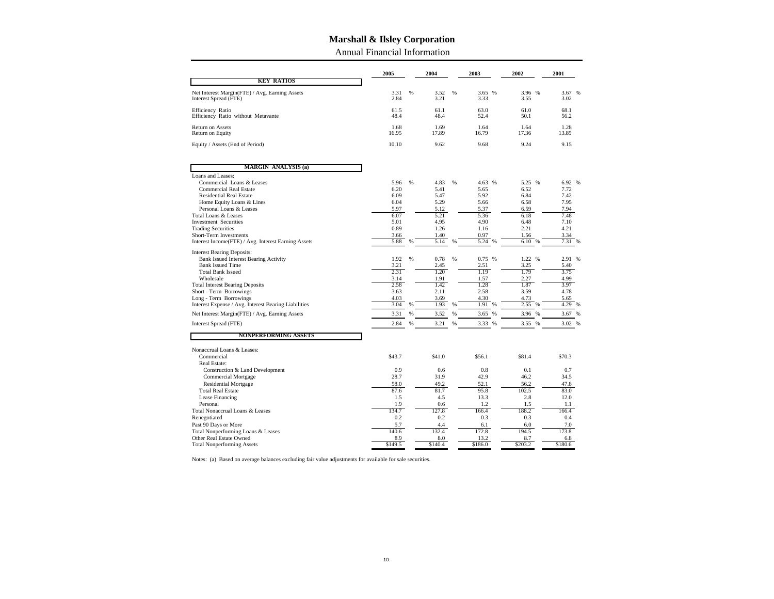Annual Financial Information

|                                                                                                                                                                                                                                                                                                                                                            | 2005                                                                         |        | 2004                                                                         |        | 2003                                                                                | 2002                                                                                | 2001                                                                                |
|------------------------------------------------------------------------------------------------------------------------------------------------------------------------------------------------------------------------------------------------------------------------------------------------------------------------------------------------------------|------------------------------------------------------------------------------|--------|------------------------------------------------------------------------------|--------|-------------------------------------------------------------------------------------|-------------------------------------------------------------------------------------|-------------------------------------------------------------------------------------|
| <b>KEY RATIOS</b>                                                                                                                                                                                                                                                                                                                                          |                                                                              |        |                                                                              |        |                                                                                     |                                                                                     |                                                                                     |
| Net Interest Margin(FTE) / Avg. Earning Assets<br>Interest Spread (FTE)                                                                                                                                                                                                                                                                                    | 3.31<br>2.84                                                                 | %      | 3.52<br>3.21                                                                 | %      | 3.65<br>%<br>3.33                                                                   | 3.96 %<br>3.55                                                                      | 3.67<br>%<br>3.02                                                                   |
| Efficiency Ratio<br>Efficiency Ratio without Metavante                                                                                                                                                                                                                                                                                                     | 61.5<br>48.4                                                                 |        | 61.1<br>48.4                                                                 |        | 63.0<br>52.4                                                                        | 61.0<br>50.1                                                                        | 68.1<br>56.2                                                                        |
| <b>Return on Assets</b><br>Return on Equity                                                                                                                                                                                                                                                                                                                | 1.68<br>16.95                                                                |        | 1.69<br>17.89                                                                |        | 1.64<br>16.79                                                                       | 1.64<br>17.36                                                                       | 1.28<br>13.89                                                                       |
| Equity / Assets (End of Period)                                                                                                                                                                                                                                                                                                                            | 10.10                                                                        |        | 9.62                                                                         |        | 9.68                                                                                | 9.24                                                                                | 9.15                                                                                |
| <b>MARGIN ANALYSIS (a)</b>                                                                                                                                                                                                                                                                                                                                 |                                                                              |        |                                                                              |        |                                                                                     |                                                                                     |                                                                                     |
| Loans and Leases:<br>Commercial Loans & Leases<br><b>Commercial Real Estate</b><br><b>Residential Real Estate</b><br>Home Equity Loans & Lines<br>Personal Loans & Leases<br><b>Total Loans &amp; Leases</b><br><b>Investment Securities</b><br><b>Trading Securities</b><br>Short-Term Investments<br>Interest Income(FTE) / Avg. Interest Earning Assets | 5.96<br>6.20<br>6.09<br>6.04<br>5.97<br>6.07<br>5.01<br>0.89<br>3.66<br>5.88 | %<br>% | 4.83<br>5.41<br>5.47<br>5.29<br>5.12<br>5.21<br>4.95<br>1.26<br>1.40<br>5.14 | %<br>% | 4.63 %<br>5.65<br>5.92<br>5.66<br>5.37<br>5.36<br>4.90<br>1.16<br>0.97<br>5.24<br>% | 5.25 %<br>6.52<br>6.84<br>6.58<br>6.59<br>6.18<br>6.48<br>2.21<br>1.56<br>6.10<br>% | 6.92 %<br>7.72<br>7.42<br>7.95<br>7.94<br>7.48<br>7.10<br>4.21<br>3.34<br>7.31<br>% |
| <b>Interest Bearing Deposits:</b><br>Bank Issued Interest Bearing Activity<br><b>Bank Issued Time</b><br><b>Total Bank Issued</b><br>Wholesale<br><b>Total Interest Bearing Deposits</b><br>Short - Term Borrowings<br>Long - Term Borrowings<br>Interest Expense / Avg. Interest Bearing Liabilities                                                      | 1.92<br>3.21<br>2.31<br>3.14<br>2.58<br>3.63<br>4.03<br>3.04                 | %<br>% | 0.78<br>2.45<br>1.20<br>1.91<br>1.42<br>2.11<br>3.69<br>1.93                 | %<br>% | 0.75%<br>2.51<br>1.19<br>1.57<br>1.28<br>2.58<br>4.30<br>1.91<br>%                  | 1.22 %<br>3.25<br>1.79<br>2.27<br>1.87<br>3.59<br>4.73<br>2.55<br>%                 | 2.91 %<br>5.40<br>3.75<br>4.99<br>3.97<br>4.78<br>5.65<br>4.29 %                    |
| Net Interest Margin(FTE) / Avg. Earning Assets                                                                                                                                                                                                                                                                                                             | 3.31                                                                         | %      | 3.52                                                                         | %      | 3.65<br>%                                                                           | 3.96                                                                                | 3.67 %                                                                              |
| Interest Spread (FTE)                                                                                                                                                                                                                                                                                                                                      | 2.84                                                                         | %      | 3.21                                                                         | %      | 3.33<br>%                                                                           | 3.55<br>%                                                                           | 3.02 %                                                                              |
| <b>NONPERFORMING ASSETS</b>                                                                                                                                                                                                                                                                                                                                |                                                                              |        |                                                                              |        |                                                                                     |                                                                                     |                                                                                     |
| Nonaccrual Loans & Leases:<br>Commercial<br>Real Estate:                                                                                                                                                                                                                                                                                                   | \$43.7                                                                       |        | \$41.0                                                                       |        | \$56.1                                                                              | \$81.4                                                                              | \$70.3                                                                              |
| Construction & Land Development<br><b>Commercial Mortgage</b><br><b>Residential Mortgage</b><br><b>Total Real Estate</b><br>Lease Financing                                                                                                                                                                                                                | 0.9<br>28.7<br>58.0<br>87.6<br>1.5                                           |        | 0.6<br>31.9<br>49.2<br>81.7<br>4.5                                           |        | 0.8<br>42.9<br>52.1<br>95.8<br>13.3                                                 | 0.1<br>46.2<br>56.2<br>102.5<br>2.8                                                 | 0.7<br>34.5<br>47.8<br>83.0<br>12.0                                                 |
| Personal                                                                                                                                                                                                                                                                                                                                                   | 1.9                                                                          |        | 0.6                                                                          |        | 1.2                                                                                 | 1.5                                                                                 | 1.1                                                                                 |
| Total Nonaccrual Loans & Leases                                                                                                                                                                                                                                                                                                                            | 134.7                                                                        |        | 127.8                                                                        |        | 166.4                                                                               | 188.2                                                                               | 166.4                                                                               |
| Renegotiated<br>Past 90 Days or More                                                                                                                                                                                                                                                                                                                       | 0.2<br>5.7                                                                   |        | 0.2<br>4.4                                                                   |        | 0.3<br>6.1                                                                          | 0.3<br>6.0                                                                          | 0.4<br>7.0                                                                          |
| Total Nonperforming Loans & Leases                                                                                                                                                                                                                                                                                                                         | 140.6                                                                        |        | 132.4                                                                        |        | 172.8                                                                               | 194.5                                                                               | 173.8                                                                               |
| Other Real Estate Owned                                                                                                                                                                                                                                                                                                                                    | 8.9                                                                          |        | 8.0                                                                          |        | 13.2                                                                                | 8.7                                                                                 | 6.8                                                                                 |
| <b>Total Nonperforming Assets</b>                                                                                                                                                                                                                                                                                                                          | \$149.5                                                                      |        | \$140.4                                                                      |        | \$186.0                                                                             | \$203.2                                                                             | \$180.6                                                                             |

Notes: (a) Based on average balances excluding fair value adjustments for available for sale securities.